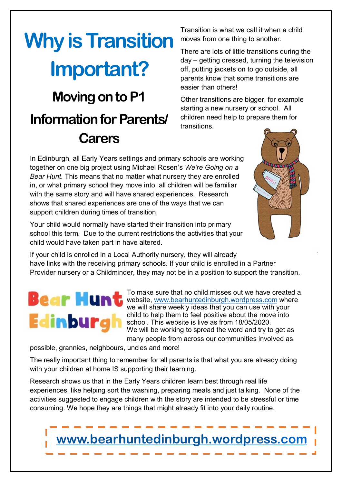## **Why is Transition Important? Moving on to P1 Information for Parents/ Carers**

Transition is what we call it when a child moves from one thing to another.

There are lots of little transitions during the day – getting dressed, turning the television off, putting jackets on to go outside, all parents know that some transitions are easier than others!

Other transitions are bigger, for example starting a new nursery or school. All children need help to prepare them for transitions.

In Edinburgh, all Early Years settings and primary schools are working together on one big project using Michael Rosen's *We're Going on a Bear Hunt.* This means that no matter what nursery they are enrolled in, or what primary school they move into, all children will be familiar with the same story and will have shared experiences. Research shows that shared experiences are one of the ways that we can support children during times of transition.

Your child would normally have started their transition into primary school this term. Due to the current restrictions the activities that your child would have taken part in have altered.

If your child is enrolled in a Local Authority nursery, they will already have links with the receiving primary schools. If your child is enrolled in a Partner Provider nursery or a Childminder, they may not be in a position to support the transition.

## Bear Hun' **Edinburg**

To make sure that no child misses out we have created a website, [www.bearhuntedinburgh.wordpress.c](http://www.bearhuntedinburgh.wordpress)om where we will share weekly ideas that you can use with your child to help them to feel positive about the move into school. This website is live as from 18/05/2020. We will be working to spread the word and try to get as many people from across our communities involved as

possible, grannies, neighbours, uncles and more!

The really important thing to remember for all parents is that what you are already doing with your children at home IS supporting their learning.

Research shows us that in the Early Years children learn best through real life experiences, like helping sort the washing, preparing meals and just talking. None of the activities suggested to engage children with the story are intended to be stressful or time consuming. We hope they are things that might already fit into your daily routine.